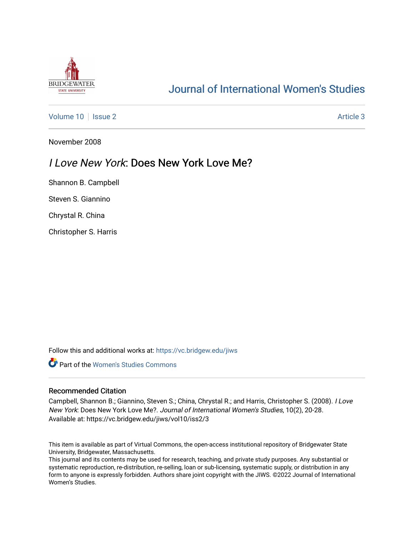

# [Journal of International Women's Studies](https://vc.bridgew.edu/jiws)

[Volume 10](https://vc.bridgew.edu/jiws/vol10) | [Issue 2](https://vc.bridgew.edu/jiws/vol10/iss2) Article 3

November 2008

## I Love New York: Does New York Love Me?

Shannon B. Campbell

Steven S. Giannino

Chrystal R. China

Christopher S. Harris

Follow this and additional works at: [https://vc.bridgew.edu/jiws](https://vc.bridgew.edu/jiws?utm_source=vc.bridgew.edu%2Fjiws%2Fvol10%2Fiss2%2F3&utm_medium=PDF&utm_campaign=PDFCoverPages)

**C** Part of the Women's Studies Commons

#### Recommended Citation

Campbell, Shannon B.; Giannino, Steven S.; China, Chrystal R.; and Harris, Christopher S. (2008). I Love New York: Does New York Love Me?. Journal of International Women's Studies, 10(2), 20-28. Available at: https://vc.bridgew.edu/jiws/vol10/iss2/3

This item is available as part of Virtual Commons, the open-access institutional repository of Bridgewater State University, Bridgewater, Massachusetts.

This journal and its contents may be used for research, teaching, and private study purposes. Any substantial or systematic reproduction, re-distribution, re-selling, loan or sub-licensing, systematic supply, or distribution in any form to anyone is expressly forbidden. Authors share joint copyright with the JIWS. ©2022 Journal of International Women's Studies.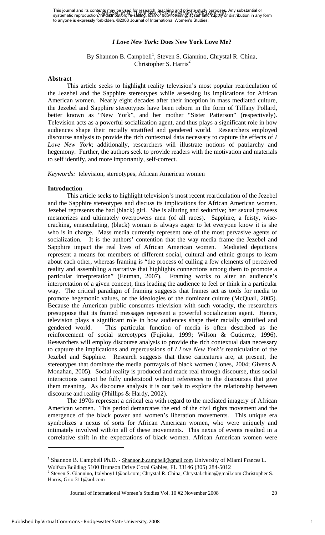## *I Love New York***: Does New York Love Me?**

## By Shannon B. Campbell<sup>1</sup>, Steven S. Giannino, Chrystal R. China, Christopher S. Harris<sup>2</sup>

## **Abstract**

This article seeks to highlight reality television's most popular rearticulation of the Jezebel and the Sapphire stereotypes while assessing its implications for African American women. Nearly eight decades after their inception in mass mediated culture, the Jezebel and Sapphire stereotypes have been reborn in the form of Tiffany Pollard, better known as "New York", and her mother "Sister Patterson" (respectively). Television acts as a powerful socialization agent, and thus plays a significant role in how audiences shape their racially stratified and gendered world. Researchers employed discourse analysis to provide the rich contextual data necessary to capture the effects of *I Love New York*; additionally, researchers will illustrate notions of patriarchy and hegemony. Further, the authors seek to provide readers with the motivation and materials to self identify, and more importantly, self-correct.

*Keywords:* television, stereotypes, African American women

## **Introduction**

This article seeks to highlight television's most recent rearticulation of the Jezebel and the Sapphire stereotypes and discuss its implications for African American women. Jezebel represents the bad (black) girl. She is alluring and seductive; her sexual prowess mesmerizes and ultimately overpowers men (of all races). Sapphire, a feisty, wisecracking, emasculating, (black) woman is always eager to let everyone know it is she who is in charge. Mass media currently represent one of the most pervasive agents of socialization. It is the authors' contention that the way media frame the Jezebel and Sapphire impact the real lives of African American women. Mediated depictions represent a means for members of different social, cultural and ethnic groups to learn about each other, whereas framing is "the process of culling a few elements of perceived reality and assembling a narrative that highlights connections among them to promote a particular interpretation" (Entman, 2007). Framing works to alter an audience's interpretation of a given concept, thus leading the audience to feel or think in a particular way. The critical paradigm of framing suggests that frames act as tools for media to promote hegemonic values, or the ideologies of the dominant culture (McQuail, 2005). Because the American public consumes television with such voracity, the researchers presuppose that its framed messages represent a powerful socialization agent. Hence, television plays a significant role in how audiences shape their racially stratified and gendered world. This particular function of media is often described as the reinforcement of social stereotypes (Fujioka, 1999; Wilson & Gutierrez, 1996). Researchers will employ discourse analysis to provide the rich contextual data necessary to capture the implications and repercussions of *I Love New York's* rearticulation of the Jezebel and Sapphire. Research suggests that these caricatures are, at present, the stereotypes that dominate the media portrayals of black women (Jones, 2004; Givens & Monahan, 2005). Social reality is produced and made real through discourse, thus social interactions cannot be fully understood without references to the discourses that give them meaning. As discourse analysts it is our task to explore the relationship between discourse and reality (Phillips & Hardy, 2002).

The 1970s represent a critical era with regard to the mediated imagery of African American women. This period demarcates the end of the civil rights movement and the emergence of the black power and women's liberation movements. This unique era symbolizes a nexus of sorts for African American women, who were uniquely and intimately involved with/in all of these movements. This nexus of events resulted in a correlative shift in the expectations of black women. African American women were

<sup>&</sup>lt;sup>1</sup> Shannon B. Campbell Ph.D. - Shannon.b.campbell@gmail.com University of Miami Frances L. Wolfson Building 5100 Brunson Drive Coral Gables, FL 33146 (305) 284-5012

<sup>&</sup>lt;sup>2</sup> Steven S. Giannino, *Italyboy11@aol.com*; Chrystal R. China, *Chrystal.china@gmail.com* Christopher S. Harris, Griot311@aol.com

Journal of International Women's Studies Vol. 10 #2 November 2008 20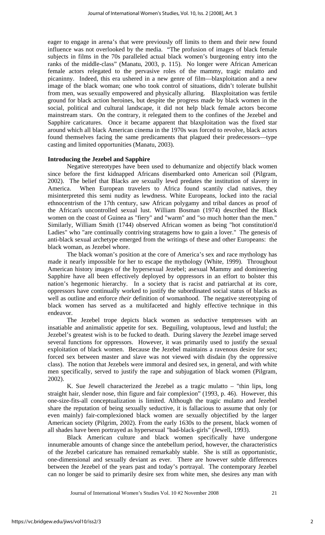eager to engage in arena's that were previously off limits to them and their new found influence was not overlooked by the media. "The profusion of images of black female subjects in films in the 70s paralleled actual black women's burgeoning entry into the ranks of the middle-class" (Manatu, 2003, p. 115). No longer were African American female actors relegated to the pervasive roles of the mammy, tragic mulatto and picaninny. Indeed, this era ushered in a new genre of film—blaxploitation and a new image of the black woman; one who took control of situations, didn't tolerate bullshit from men, was sexually empowered and physically alluring. Blaxploitation was fertile ground for black action heroines, but despite the progress made by black women in the social, political and cultural landscape, it did not help black female actors become mainstream stars. On the contrary, it relegated them to the confines of the Jezebel and Sapphire caricatures. Once it became apparent that blaxploitation was the fixed star around which all black American cinema in the 1970s was forced to revolve, black actors found themselves facing the same predicaments that plagued their predecessors—type casting and limited opportunities (Manatu, 2003).

## **Introducing the Jezebel and Sapphire**

Negative stereotypes have been used to dehumanize and objectify black women since before the first kidnapped Africans disembarked onto American soil (Pilgram, 2002). The belief that Blacks are sexually lewd predates the institution of slavery in America. When European travelers to Africa found scantily clad natives, they misinterpreted this semi nudity as lewdness. White Europeans, locked into the racial ethnocentrism of the 17th century, saw African polygamy and tribal dances as proof of the African's uncontrolled sexual lust. William Bosman (1974) described the Black women on the coast of Guinea as "fiery" and "warm" and "so much hotter than the men." Similarly, William Smith (1744) observed African women as being "hot constitution'd Ladies" who "are continually contriving stratagems how to gain a lover." The genesis of anti-black sexual archetype emerged from the writings of these and other Europeans: the black woman, as Jezebel whore.

The black woman's position at the core of America's sex and race mythology has made it nearly impossible for her to escape the mythology (White, 1999). Throughout American history images of the hypersexual Jezebel; asexual Mammy and domineering Sapphire have all been effectively deployed by oppressors in an effort to bolster this nation's hegemonic hierarchy. In a society that is racist and patriarchal at its core, oppressors have continually worked to justify the subordinated social status of blacks as well as outline and enforce *their* definition of womanhood. The negative stereotyping of black women has served as a multifaceted and highly effective technique in this endeavor.

The Jezebel trope depicts black women as seductive temptresses with an insatiable and animalistic appetite for sex. Beguiling, voluptuous, lewd and lustful; the Jezebel's greatest wish is to be fucked to death. During slavery the Jezebel image served several functions for oppressors. However, it was primarily used to justify the sexual exploitation of black women. Because the Jezebel maintains a ravenous desire for sex; forced sex between master and slave was not viewed with disdain (by the oppressive class). The notion that Jezebels were immoral and desired sex, in general, and with white men specifically, served to justify the rape and subjugation of black women (Pilgram, 2002).

K. Sue Jewell characterized the Jezebel as a tragic mulatto – "thin lips, long straight hair, slender nose, thin figure and fair complexion" (1993, p. 46). However, this one-size-fits-all conceptualization is limited. Although the tragic mulatto and Jezebel share the reputation of being sexually seductive, it is fallacious to assume that only (or even mainly) fair-complexioned black women are sexually objectified by the larger American society (Pilgrim, 2002). From the early 1630s to the present, black women of all shades have been portrayed as hypersexual "bad-black-girls" (Jewell, 1993).

Black American culture and black women specifically have undergone innumerable amounts of change since the antebellum period, however, the characteristics of the Jezebel caricature has remained remarkably stable. She is still as opportunistic, one-dimensional and sexually deviant as ever. There are however subtle differences between the Jezebel of the years past and today's portrayal. The contemporary Jezebel can no longer be said to primarily desire sex from white men, she desires any man with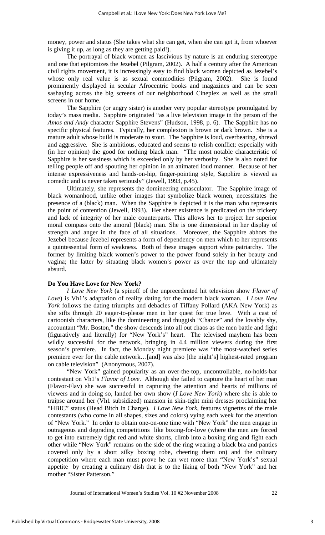money, power and status (She takes what she can get, when she can get it, from whoever is giving it up, as long as they are getting paid!).

The portrayal of black women as lascivious by nature is an enduring stereotype and one that epitomizes the Jezebel (Pilgram, 2002). A half a century after the American civil rights movement, it is increasingly easy to find black women depicted as Jezebel's whose only real value is as sexual commodities (Pilgram, 2002). She is found prominently displayed in secular Afrocentric books and magazines and can be seen sashaying across the big screens of our neighborhood Cineplex as well as the small screens in our home.

The Sapphire (or angry sister) is another very popular stereotype promulgated by today's mass media. Sapphire originated "as a live television image in the person of the *Amos and Andy* character Sapphire Stevens" (Hudson, 1998, p. 6). The Sapphire has no specific physical features. Typically, her complexion is brown or dark brown. She is a mature adult whose build is moderate to stout. The Sapphire is loud, overbearing, shrewd and aggressive. She is ambitious, educated and seems to relish conflict; especially with (in her opinion) the good for nothing black man. "The most notable characteristic of Sapphire is her sassiness which is exceeded only by her verbosity. She is also noted for telling people off and spouting her opinion in an animated loud manner. Because of her intense expressiveness and hands-on-hip, finger-pointing style, Sapphire is viewed as comedic and is never taken seriously" (Jewell, 1993, p.45).

Ultimately, she represents the domineering emasculator. The Sapphire image of black womanhood, unlike other images that symbolize black women, necessitates the presence of a (black) man. When the Sapphire is depicted it is the man who represents the point of contention (Jewell, 1993). Her sheer existence is predicated on the trickery and lack of integrity of her male counterparts. This allows her to project her superior moral compass onto the amoral (black) man. She is one dimensional in her display of strength and anger in the face of all situations. Moreover, the Sapphire abhors the Jezebel because Jezebel represents a form of dependency on men which to her represents a quintessential form of weakness. Both of these images support white patriarchy. The former by limiting black women's power to the power found solely in her beauty and vagina; the latter by situating black women's power as over the top and ultimately absurd.

#### **Do You Have Love for New York?**

*I Love New York* (a spinoff of the unprecedented hit television show *Flavor of Love*) is Vh1's adaptation of reality dating for the modern black woman. *I Love New York* follows the dating triumphs and debacles of Tiffany Pollard (AKA New York) as she sifts through 20 eager-to-please men in her quest for true love. With a cast of cartoonish characters, like the domineering and thuggish "Chance" and the lovably shy, accountant "Mr. Boston," the show descends into all out chaos as the men battle and fight (figuratively and literally) for "New York's" heart. The televised mayhem has been wildly successful for the network, bringing in 4.4 million viewers during the first season's premiere. In fact, the Monday night premiere was "the most-watched series premiere ever for the cable network…[and] was also [the night's] highest-rated program on cable television" (Anonymous, 2007).

"New York" gained popularity as an over-the-top, uncontrollable, no-holds-bar contestant on Vh1's *Flavor of Love*. Although she failed to capture the heart of her man (Flavor-Flav) she was successful in capturing the attention and hearts of millions of viewers and in doing so, landed her own show (*I Love New York*) where she is able to traipse around her (Vh1 subsidized) mansion in skin-tight mini dresses proclaiming her "HBIC" status (Head Bitch In Charge). *I Love New York,* features vignettes of the male contestants (who come in all shapes, sizes and colors) vying each week for the attention of "New York." In order to obtain one-on-one time with "New York" the men engage in outrageous and degrading competitions like boxing-for-love (where the men are forced to get into extremely tight red and white shorts, climb into a boxing ring and fight each other while "New York" remains on the side of the ring wearing a black bra and panties covered only by a short silky boxing robe, cheering them on) and the culinary competition where each man must prove he can wet more than "New York's" sexual appetite by creating a culinary dish that is to the liking of both "New York" and her mother "Sister Patterson."

Journal of International Women's Studies Vol. 10 #2 November 2008 22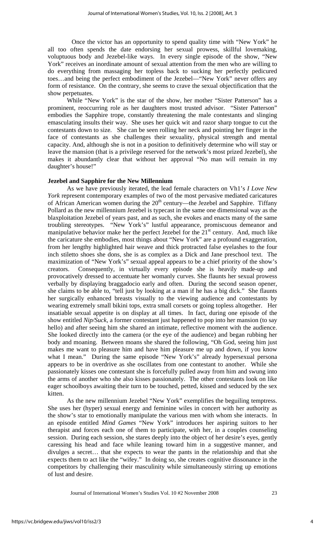Once the victor has an opportunity to spend quality time with "New York" he all too often spends the date endorsing her sexual prowess, skillful lovemaking, voluptuous body and Jezebel-like ways. In every single episode of the show, "New York" receives an inordinate amount of sexual attention from the men who are willing to do everything from massaging her topless back to sucking her perfectly pedicured toes…and being the perfect embodiment of the Jezebel—"New York" never offers any form of resistance. On the contrary, she seems to crave the sexual objectification that the show perpetuates.

While "New York" is the star of the show, her mother "Sister Patterson" has a prominent, reoccurring role as her daughters most trusted advisor. "Sister Patterson" embodies the Sapphire trope, constantly threatening the male contestants and slinging emasculating insults their way. She uses her quick wit and razor sharp tongue to cut the contestants down to size. She can be seen rolling her neck and pointing her finger in the face of contestants as she challenges their sexuality, physical strength and mental capacity. And, although she is not in a position to definitively determine who will stay or leave the mansion (that is a privilege reserved for the network's most prized Jezebel), she makes it abundantly clear that without her approval "No man will remain in my daughter's house!"

#### **Jezebel and Sapphire for the New Millennium**

As we have previously iterated, the lead female characters on Vh1's *I Love New York* represent contemporary examples of two of the most pervasive mediated caricatures of African American women during the  $20<sup>th</sup>$  century—the Jezebel and Sapphire. Tiffany Pollard as the new millennium Jezebel is typecast in the same one dimensional way as the blaxploitation Jezebel of years past, and as such, she evokes and enacts many of the same troubling stereotypes. "New York's" lustful appearance, promiscuous demeanor and manipulative behavior make her the perfect Jezebel for the  $21<sup>st</sup>$  century. And, much like the caricature she embodies, most things about "New York" are a profound exaggeration, from her lengthy highlighted hair weave and thick protracted false eyelashes to the four inch stiletto shoes she dons, she is as complex as a Dick and Jane preschool text. The maximization of "New York's" sexual appeal appears to be a chief priority of the show's creators. Consequently, in virtually every episode she is heavily made-up and provocatively dressed to accentuate her womanly curves. She flaunts her sexual prowess verbally by displaying braggadocio early and often. During the second season opener, she claims to be able to, "tell just by looking at a man if he has a big dick." She flaunts her surgically enhanced breasts visually to the viewing audience and contestants by wearing extremely small bikini tops, extra small corsets or going topless altogether. Her insatiable sexual appetite is on display at all times. In fact, during one episode of the show entitled *Nip/Suck*, a former contestant just happened to pop into her mansion (to say hello) and after seeing him she shared an intimate, reflective moment with the audience. She looked directly into the camera (or the eye of the audience) and began rubbing her body and moaning. Between moans she shared the following, "Oh God, seeing him just makes me want to pleasure him and have him pleasure me up and down, if you know what I mean." During the same episode "New York's" already hypersexual persona appears to be in overdrive as she oscillates from one contestant to another. While she passionately kisses one contestant she is forcefully pulled away from him and swung into the arms of another who she also kisses passionately. The other contestants look on like eager schoolboys awaiting their turn to be touched, petted, kissed and seduced by the sex kitten.

As the new millennium Jezebel "New York" exemplifies the beguiling temptress. She uses her (hyper) sexual energy and feminine wiles in concert with her authority as the show's star to emotionally manipulate the various men with whom she interacts. In an episode entitled *Mind Games* "New York" introduces her aspiring suitors to her therapist and forces each one of them to participate, with her, in a couples counseling session. During each session, she stares deeply into the object of her desire's eyes, gently caressing his head and face while leaning toward him in a suggestive manner, and divulges a secret… that she expects to wear the pants in the relationship and that she expects them to act like the "wifey." In doing so, she creates cognitive dissonance in the competitors by challenging their masculinity while simultaneously stirring up emotions of lust and desire.

Journal of International Women's Studies Vol. 10 #2 November 2008 23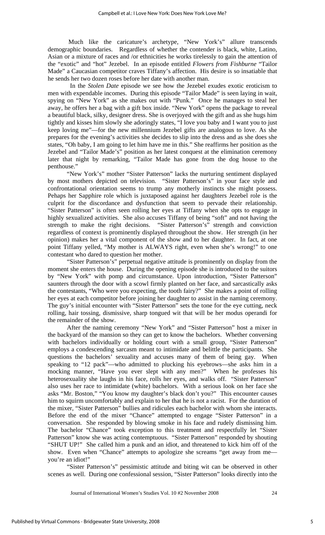Much like the caricature's archetype, "New York's" allure transcends demographic boundaries. Regardless of whether the contender is black, white, Latino, Asian or a mixture of races and /or ethnicities he works tirelessly to gain the attention of the "exotic" and "hot" Jezebel. In an episode entitled *Flowers from Fishburne* "Tailor Made" a Caucasian competitor craves Tiffany's affection. His desire is so insatiable that he sends her two dozen roses before her date with another man.

 In the *Stolen Date* episode we see how the Jezebel exudes exotic eroticism to men with expendable incomes. During this episode "Tailor Made" is seen laying in wait, spying on "New York" as she makes out with "Punk." Once he manages to steal her away, he offers her a bag with a gift box inside. "New York" opens the package to reveal a beautiful black, silky, designer dress. She is overjoyed with the gift and as she hugs him tightly and kisses him slowly she adoringly states, "I love you baby and I want you to just keep loving me"—for the new millennium Jezebel gifts are analogous to love. As she prepares for the evening's activities she decides to slip into the dress and as she does she states, "Oh baby, I am going to let him have me in this." She reaffirms her position as the Jezebel and "Tailor Made's" position as her latest conquest at the elimination ceremony later that night by remarking, "Tailor Made has gone from the dog house to the penthouse."

"New York's" mother "Sister Patterson" lacks the nurturing sentiment displayed by most mothers depicted on television. "Sister Patterson's" in your face style and confrontational orientation seems to trump any motherly instincts she might possess. Pehaps her Sapphire role which is juxtaposed against her daughters Jezebel role is the culprit for the discordance and dysfunction that seem to pervade their relationship. "Sister Patterson" is often seen rolling her eyes at Tiffany when she opts to engage in highly sexualized activities. She also accuses Tiffany of being "soft" and not having the strength to make the right decisions. "Sister Patterson's" strength and conviction "Sister Patterson's" strength and conviction regardless of context is prominently displayed throughout the show. Her strength (in her opinion) makes her a vital component of the show and to her daughter. In fact, at one point Tiffany yelled, "My mother is ALWAYS right, even when she's wrong!" to one contestant who dared to question her mother.

"Sister Patterson's" perpetual negative attitude is prominently on display from the moment she enters the house. During the opening episode she is introduced to the suitors by "New York" with pomp and circumstance. Upon introduction, "Sister Patterson" saunters through the door with a scowl firmly planted on her face, and sarcastically asks the contestants, "Who were you expecting, the tooth fairy?" She makes a point of rolling her eyes at each competitor before joining her daughter to assist in the naming ceremony. The guy's initial encounter with "Sister Patterson" sets the tone for the eye cutting, neck rolling, hair tossing, dismissive, sharp tongued wit that will be her modus operandi for the remainder of the show.

After the naming ceremony "New York" and "Sister Patterson" host a mixer in the backyard of the mansion so they can get to know the bachelors. Whether conversing with bachelors individually or holding court with a small group, "Sister Patterson" employs a condescending sarcasm meant to intimidate and belittle the participants. She questions the bachelors' sexuality and accuses many of them of being gay. When speaking to "12 pack"—who admitted to plucking his eyebrows—she asks him in a mocking manner, "Have you ever slept with any men?" When he professes his heterosexuality she laughs in his face, rolls her eyes, and walks off. "Sister Patterson" also uses her race to intimidate (white) bachelors. With a serious look on her face she asks "Mr. Boston," "You know my daughter's black don't you?" This encounter causes him to squirm uncomfortably and explain to her that he is not a racist. For the duration of the mixer, "Sister Patterson" bullies and ridicules each bachelor with whom she interacts. Before the end of the mixer "Chance" attempted to engage "Sister Patterson" in a conversation. She responded by blowing smoke in his face and rudely dismissing him. The bachelor "Chance" took exception to this treatment and respectfully let "Sister Patterson" know she was acting contemptuous. "Sister Patterson" responded by shouting "SHUT UP!" She called him a punk and an idiot, and threatened to kick him off of the show. Even when "Chance" attempts to apologize she screams "get away from me you're an idiot!"

"Sister Patterson's" pessimistic attitude and biting wit can be observed in other scenes as well. During one confessional session, "Sister Patterson" looks directly into the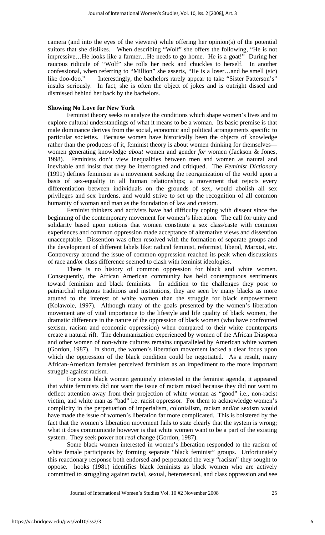camera (and into the eyes of the viewers) while offering her opinion(s) of the potential suitors that she dislikes. When describing "Wolf" she offers the following, "He is not impressive…He looks like a farmer…He needs to go home. He is a goat!" During her raucous ridicule of "Wolf" she rolls her neck and chuckles to herself. In another confessional, when referring to "Million" she asserts, "He is a loser…and he smell (sic) like doo-doo." Interestingly, the bachelors rarely appear to take "Sister Patterson's" insults seriously. In fact, she is often the object of jokes and is outright dissed and dismissed behind her back by the bachelors.

## **Showing No Love for New York**

Feminist theory seeks to analyze the conditions which shape women's lives and to explore cultural understandings of what it means to be a woman. Its basic premise is that male dominance derives from the social, economic and political arrangements specific to particular societies. Because women have historically been the objects of knowledge rather than the producers of it, feminist theory is about women thinking for themselves women generating knowledge *about* women and gender *for* women (Jackson & Jones, 1998). Feminists don't view inequalities between men and women as natural and inevitable and insist that they be interrogated and critiqued. The *Feminist Dictionary* (1991) defines feminism as a movement seeking the reorganization of the world upon a basis of sex-equality in all human relationships; a movement that rejects every differentiation between individuals on the grounds of sex, would abolish all sex privileges and sex burdens, and would strive to set up the recognition of all common humanity of woman and man as the foundation of law and custom.

Feminist thinkers and activists have had difficulty coping with dissent since the beginning of the contemporary movement for women's liberation. The call for unity and solidarity based upon notions that women constitute a sex class/caste with common experiences and common oppression made acceptance of alternative views and dissention unacceptable. Dissention was often resolved with the formation of separate groups and the development of different labels like: radical feminist, reformist, liberal, Marxist, etc. Controversy around the issue of common oppression reached its peak when discussions of race and/or class difference seemed to clash with feminist ideologies.

There is no history of common oppression for black and white women. Consequently, the African American community has held contemptuous sentiments toward feminism and black feminists. In addition to the challenges they pose to patriarchal religious traditions and institutions, they are seen by many blacks as more attuned to the interest of white women than the struggle for black empowerment (Kolawole, 1997). Although many of the goals presented by the women's liberation movement are of vital importance to the lifestyle and life quality of black women, the dramatic difference in the nature of the oppression of black women (who have confronted sexism, racism and economic oppression) when compared to their white counterparts create a natural rift. The dehumanization experienced by women of the African Diaspora and other women of non-white cultures remains unparalleled by American white women (Gordon, 1987). In short, the women's liberation movement lacked a clear focus upon which the oppression of the black condition could be negotiated. As a result, many African-American females perceived feminism as an impediment to the more important struggle against racism.

For some black women genuinely interested in the feminist agenda, it appeared that white feminists did not want the issue of racism raised because they did not want to deflect attention away from their projection of white woman as "good" i.e., non-racist victim, and white man as "bad" i.e. racist oppressor. For them to acknowledge women's complicity in the perpetuation of imperialism, colonialism, racism and/or sexism would have made the issue of women's liberation far more complicated. This is bolstered by the fact that the women's liberation movement fails to state clearly that the system is wrong; what it does communicate however is that white women want to be a part of the existing system. They seek power not *real* change (Gordon, 1987).

Some black women interested in women's liberation responded to the racism of white female participants by forming separate "black feminist" groups. Unfortunately this reactionary response both endorsed and perpetuated the very "racism" they sought to oppose. hooks (1981) identifies black feminists as black women who are actively committed to struggling against racial, sexual, heterosexual, and class oppression and see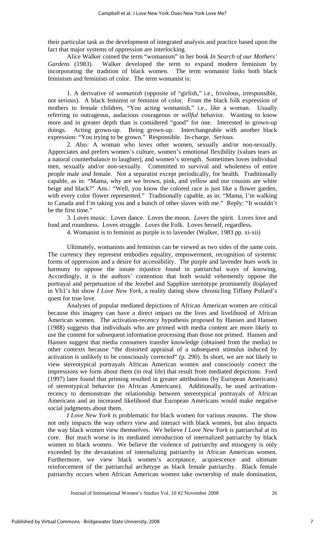their particular task as the development of integrated analysis and practice based upon the fact that major systems of oppression are interlocking.

Alice Walker coined the term "womanism" in her book *In Search of our Mothers' Gardens* (1983). Walker developed the term to expand modern feminism by incorporating the tradition of black women. The term womanist links both black feminism and feminists of color. The term womanist is:

1. A derivative of *womanish* (opposite of "girlish," i.e., frivolous, irresponsible, not serious). A black feminist or feminist of color. From the black folk expression of mothers to female children, "You acting womanish," i.e., like a woman. Usually referring to outrageous, audacious courageous or *willful* behavior. Wanting to know more and in greater depth than is considered "good" for one. Interested in grown-up doings. Acting grown-up. Being grown-up. Interchangeable with another black expression: "You trying to be grown." Responsible. In-charge. *Serious.* 

2. *Also:* A woman who loves other women, sexually and/or non-sexually. Appreciates and prefers women's culture, women's emotional flexibility (values tears as a natural counterbalance to laughter), and women's strength. Sometimes loves individual men, sexually and/or non-sexually. Committed to survival and wholeness of entire people male *and* female. Not a separatist except periodically, for health. Traditionally capable, as in: "Mama, why are we brown, pink, and yellow and our cousins are white beige and black?" Ans.: "Well, you know the colored race is just like a flower garden, with every color flower represented." Traditionally capable, as in: "Mama, I'm walking to Canada and I'm taking you and a bunch of other slaves with me." Reply: "It wouldn't be the first time.'

3. Loves music. Loves dance. Loves the moon. *Loves* the spirit. Loves love and food and roundness. Loves struggle. *Loves* the Folk. Loves herself, regardless.

4. Womanist is to feminist as purple is to lavender (Walker, 1983 pp. xi-xii)

Ultimately, womanists and feminists can be viewed as two sides of the same coin. The currency they represent embodies equality, empowerment, recognition of systemic forms of oppression and a desire for accessibility. The purple and lavender hues work in harmony to oppose the innate injustice found in patriarchal ways of knowing. Accordingly, it is the authors' contention that both would vehemently oppose the portrayal and perpetuation of the Jezebel and Sapphire stereotype prominently displayed in Vh1's hit show *I Love New York*, a reality dating show chronicling Tiffany Pollard's quest for true love.

Analyses of popular mediated depictions of African American women are critical because this imagery can have a direct impact on the lives and livelihood of African American women. The activation-recency hypothesis proposed by Hansen and Hansen (1988) suggests that individuals who are primed with media content are more likely to use the content for subsequent information processing than those not primed. Hansen and Hansen suggest that media consumers transfer knowledge (obtained from the media) to other contexts because "the distorted appraisal of a subsequent stimulus induced by activation is unlikely to be consciously corrected" (p. 290). In short, we are not likely to view stereotypical portrayals African American women and consciously correct the impressions we form about them (in real life) that result from mediated depictions. Ford (1997) later found that priming resulted in greater attributions (by European Americans) of stereotypical behavior (to African Americans). Additionally, he used activationrecency to demonstrate the relationship between stereotypical portrayals of African Americans and an increased likelihood that European Americans would make negative social judgments about them.

*I Love New York* is problematic for black women for various reasons. The show not only impacts the way *others* view and interact with black women, but also impacts the way black women view themselves. We believe *I Love New York* is patriarchal at its core. But much worse is its mediated introduction of internalized patriarchy by black women to black women. We believe the violence of patriarchy and misogyny is only exceeded by the devastation of internalizing patriarchy in African American women. Furthermore, we view black women's acceptance, acquiescence and ultimate reinforcement of the patriarchal archetype as black female patriarchy. Black female patriarchy occurs when African American women take ownership of male domination,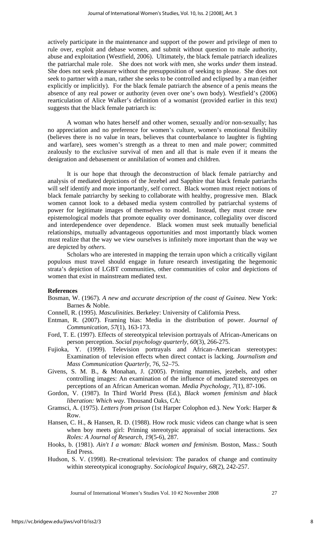actively participate in the maintenance and support of the power and privilege of men to rule over, exploit and debase women, and submit without question to male authority, abuse and exploitation (Westfield, 2006). Ultimately, the black female patriarch idealizes the patriarchal male role. She does not work *with* men, she works *under* them instead. She does not seek pleasure without the presupposition of seeking to please. She does not seek to partner with a man, rather she seeks to be controlled and eclipsed by a man (either explicitly or implicitly). For the black female patriarch the absence of a penis means the absence of any real power or authority (even over one's own body). Westfield's (2006) rearticulation of Alice Walker's definition of a womanist (provided earlier in this text) suggests that the black female patriarch is:

A woman who hates herself and other women, sexually and/or non-sexually; has no appreciation and no preference for women's culture, women's emotional flexibility (believes there is no value in tears, believes that counterbalance to laughter is fighting and warfare), sees women's strength as a threat to men and male power; committed zealously to the exclusive survival of men and all that is male even if it means the denigration and debasement or annihilation of women and children.

It is our hope that through the deconstruction of black female patriarchy and analysis of mediated depictions of the Jezebel and Sapphire that black female patriarchs will self identify and more importantly, self correct. Black women must reject notions of black female patriarchy by seeking to collaborate with healthy, progressive men. Black women cannot look to a debased media system controlled by patriarchal systems of power for legitimate images of themselves to model. Instead, they must create new epistemological models that promote equality over dominance, collegiality over discord and interdependence over dependence. Black women must seek mutually beneficial relationships, mutually advantageous opportunities and most importantly black women must realize that the way we view ourselves is infinitely more important than the way we are depicted by *others*.

Scholars who are interested in mapping the terrain upon which a critically vigilant populous must travel should engage in future research investigating the hegemonic strata's depiction of LGBT communities, other communities of color and depictions of women that exist in mainstream mediated text.

## **References**

- Bosman, W. (1967). *A new and accurate description of the coast of Guinea*. New York: Barnes & Noble.
- Connell, R. (1995). *Masculinities*. Berkeley: University of California Press.
- Entman, R. (2007). Framing bias: Media in the distribution of power. *Journal of Communication, 57*(1), 163-173.
- Ford, T. E. (1997). Effects of stereotypical television portrayals of African-Americans on person perception. *Social psychology quarterly, 60*(3), 266-275.
- Fujioka, Y. (1999). Television portrayals and African–American stereotypes: Examination of television effects when direct contact is lacking. *Journalism and Mass Communication Quarterly*, 76, 52–75.
- Givens, S. M. B., & Monahan, J. (2005). Priming mammies, jezebels, and other controlling images: An examination of the influence of mediated stereotypes on perceptions of an African American woman. *Media Psychology, 7*(1), 87-106.
- Gordon, V. (1987). In Third World Press (Ed.), *Black women feminism and black liberation: Which way*. Thousand Oaks, CA:
- Gramsci, A. (1975). *Letters from prison* (1st Harper Colophon ed.). New York: Harper & Row.
- Hansen, C. H., & Hansen, R. D. (1988). How rock music videos can change what is seen when boy meets girl: Priming stereotypic appraisal of social interactions. *Sex Roles: A Journal of Research, 19*(5-6), 287.
- Hooks, b. (1981). *Ain't I a woman: Black women and feminism*. Boston, Mass.: South End Press.
- Hudson, S. V. (1998). Re-creational television: The paradox of change and continuity within stereotypical iconography. *Sociological Inquiry, 68*(2), 242-257.

Journal of International Women's Studies Vol. 10 #2 November 2008 27